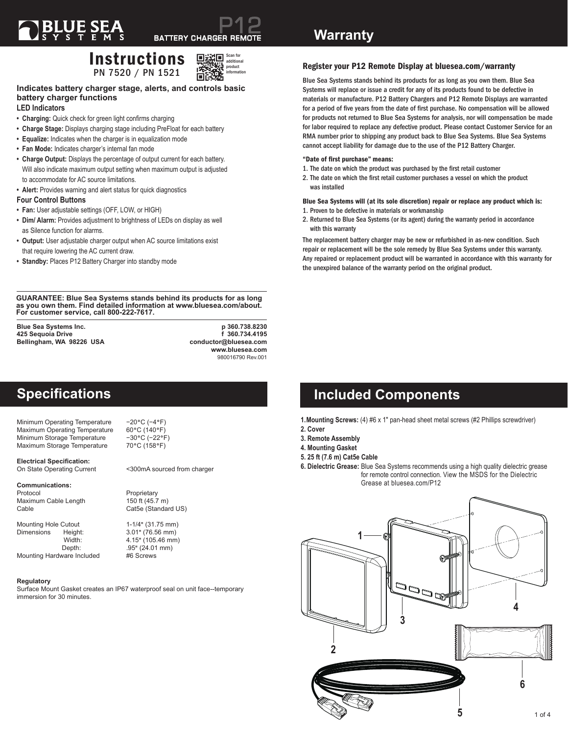## Instructions PN 7520 / PN 1521



## **Indicates battery charger stage, alerts, and controls basic battery charger functions**

## **LED Indicators**

- **• Charging:** Quick check for green light confirms charging
- **• Charge Stage:** Displays charging stage including PreFloat for each battery
- **• Equalize:** Indicates when the charger is in equalization mode
- **• Fan Mode:** Indicates charger's internal fan mode
- **• Charge Output:** Displays the percentage of output current for each battery. Will also indicate maximum output setting when maximum output is adjusted to accommodate for AC source limitations.
- **• Alert:** Provides warning and alert status for quick diagnostics

#### **Four Control Buttons**

- **• Fan:** User adjustable settings (OFF, LOW, or HIGH)
- **• Dim/ Alarm:** Provides adjustment to brightness of LEDs on display as well as Silence function for alarms.
- **• Output:** User adjustable charger output when AC source limitations exist that require lowering the AC current draw.
- **• Standby:** Places P12 Battery Charger into standby mode

**GUARANTEE: Blue Sea Systems stands behind its products for as long as you own them. Find detailed information at www.bluesea.com/about. For customer service, call 800-222-7617.**

**425 Sequoia Drive f 360.734.4195 Bellingham, WA 98226 USA** 

**Blue Sea Systems Inc. p 360.738.8230 www.bluesea.com** 980016790 Rev.001

## **Specifications**

Minimum Operating Temperature −20°C (−4°F) Maximum Operating Temperature 60°C (140°F)<br>Minimum Storage Temperature –30°C (-22°F) Minimum Storage Temperature −30°C (−22°F)<br>Maximum Storage Temperature 70°C (158°F) Maximum Storage Temperature

**Electrical Specification:**

#### **Communications:**

Protocol Proprietary Maximum Cable Length 150 ft (45.7 m)<br>Cable Cat5e (Standar

Mounting Hole Cutout 1-1/4" (31.75 mm) Dimensions Height: 3.01" (76.56 mm) Mounting Hardware Included

#### **Regulatory**

Surface Mount Gasket creates an IP67 waterproof seal on unit face--temporary immersion for 30 minutes.

<300mA sourced from charger

Cat5e (Standard US)

4.15" (105.46 mm) Depth: .95" (24.01 mm)<br>vare Included #6 Screws

## Register your P12 Remote Display at bluesea.com/warranty

Blue Sea Systems stands behind its products for as long as you own them. Blue Sea Systems will replace or issue a credit for any of its products found to be defective in materials or manufacture. P12 Battery Chargers and P12 Remote Displays are warranted for a period of five years from the date of first purchase. No compensation will be allowed for products not returned to Blue Sea Systems for analysis, nor will compensation be made for labor required to replace any defective product. Please contact Customer Service for an RMA number prior to shipping any product back to Blue Sea Systems. Blue Sea Systems cannot accept liability for damage due to the use of the P12 Battery Charger.

#### "Date of first purchase" means:

- 1. The date on which the product was purchased by the first retail customer
- 2. The date on which the first retail customer purchases a vessel on which the product was installed

#### Blue Sea Systems will (at its sole discretion) repair or replace any product which is: 1. Proven to be defective in materials or workmanship

2. Returned to Blue Sea Systems (or its agent) during the warranty period in accordance with this warranty

The replacement battery charger may be new or refurbished in as-new condition. Such repair or replacement will be the sole remedy by Blue Sea Systems under this warranty. Any repaired or replacement product will be warranted in accordance with this warranty for the unexpired balance of the warranty period on the original product.

## **Included Components**

- **1. Mounting Screws:** (4) #6 x 1" pan-head sheet metal screws (#2 Phillips screwdriver)
- **2. Cover**
- **3. Remote Assembly**
- **4. Mounting Gasket**
- **5. 25 ft (7.6 m) Cat5e Cable**
- **6. Dielectric Grease:** Blue Sea Systems recommends using a high quality dielectric grease for remote control connection. View the MSDS for the Dielectric Grease at bluesea.com/P12

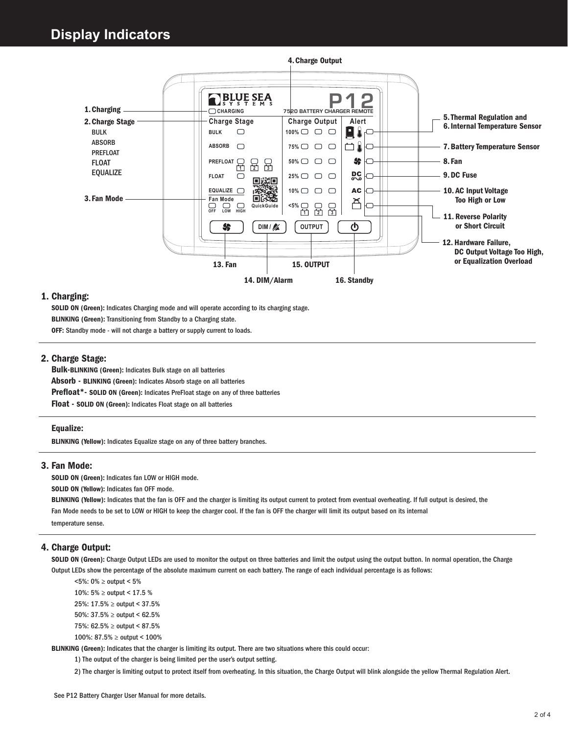

### 1. Charging:

SOLID ON (Green): Indicates Charging mode and will operate according to its charging stage.

BLINKING (Green): Transitioning from Standby to a Charging state.

OFF: Standby mode - will not charge a battery or supply current to loads.

## 2. Charge Stage:

Bulk-BLINKING (Green): Indicates Bulk stage on all batteries Absorb - BLINKING (Green): Indicates Absorb stage on all batteries Prefloat\*- SOLID ON (Green): Indicates PreFloat stage on any of three batteries Float - SOLID ON (Green): Indicates Float stage on all batteries

#### Equalize:

BLINKING (Yellow): Indicates Equalize stage on any of three battery branches.

#### 3. Fan Mode:

SOLID ON (Green): Indicates fan LOW or HIGH mode.

SOLID ON (Yellow): Indicates fan OFF mode.

BLINKING (Yellow): Indicates that the fan is OFF and the charger is limiting its output current to protect from eventual overheating. If full output is desired, the Fan Mode needs to be set to LOW or HIGH to keep the charger cool. If the fan is OFF the charger will limit its output based on its internal temperature sense.

### 4. Charge Output:

SOLID ON (Green): Charge Output LEDs are used to monitor the output on three batteries and limit the output using the output button. In normal operation, the Charge Output LEDs show the percentage of the absolute maximum current on each battery. The range of each individual percentage is as follows:

 <5%: 0% ≥ output < 5% 10%: 5% ≥ output < 17.5 % 25%: 17.5% ≥ output < 37.5% 50%: 37.5% ≥ output < 62.5% 75%: 62.5% ≥ output < 87.5% 100%: 87.5% ≥ output < 100%

BLINKING (Green): Indicates that the charger is limiting its output. There are two situations where this could occur:

1) The output of the charger is being limited per the user's output setting.

2) The charger is limiting output to protect itself from overheating. In this situation, the Charge Output will blink alongside the yellow Thermal Regulation Alert.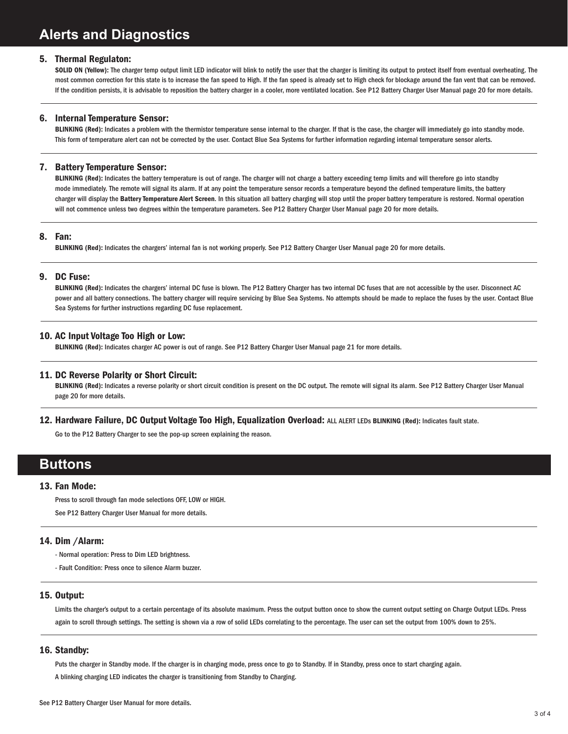### 5. Thermal Regulaton:

SOLID ON (Yellow): The charger temp output limit LED indicator will blink to notify the user that the charger is limiting its output to protect itself from eventual overheating. The most common correction for this state is to increase the fan speed to High. If the fan speed is already set to High check for blockage around the fan vent that can be removed. If the condition persists, it is advisable to reposition the battery charger in a cooler, more ventilated location. See P12 Battery Charger User Manual page 20 for more details.

#### 6. Internal Temperature Sensor:

BLINKING (Red): Indicates a problem with the thermistor temperature sense internal to the charger. If that is the case, the charger will immediately go into standby mode. This form of temperature alert can not be corrected by the user. Contact Blue Sea Systems for further information regarding internal temperature sensor alerts.

#### 7. Battery Temperature Sensor:

BLINKING (Red): Indicates the battery temperature is out of range. The charger will not charge a battery exceeding temp limits and will therefore go into standby mode immediately. The remote will signal its alarm. If at any point the temperature sensor records a temperature beyond the defined temperature limits, the battery charger will display the Battery Temperature Alert Screen. In this situation all battery charging will stop until the proper battery temperature is restored. Normal operation will not commence unless two degrees within the temperature parameters. See P12 Battery Charger User Manual page 20 for more details.

#### 8. Fan:

BLINKING (Red): Indicates the chargers' internal fan is not working properly. See P12 Battery Charger User Manual page 20 for more details.

#### 9. DC Fuse:

BLINKING (Red): Indicates the chargers' internal DC fuse is blown. The P12 Battery Charger has two internal DC fuses that are not accessible by the user. Disconnect AC power and all battery connections. The battery charger will require servicing by Blue Sea Systems. No attempts should be made to replace the fuses by the user. Contact Blue Sea Systems for further instructions regarding DC fuse replacement.

## 10. AC Input Voltage Too High or Low:

BLINKING (Red): Indicates charger AC power is out of range. See P12 Battery Charger User Manual page 21 for more details.

#### 11. DC Reverse Polarity or Short Circuit:

BLINKING (Red): Indicates a reverse polarity or short circuit condition is present on the DC output. The remote will signal its alarm. See P12 Battery Charger User Manual page 20 for more details.

#### 12. Hardware Failure, DC Output Voltage Too High, Equalization Overload: ALL ALERT LEDs BLINKING (Red): Indicates fault state.

Go to the P12 Battery Charger to see the pop-up screen explaining the reason.

## **Buttons**

#### 13. Fan Mode:

Press to scroll through fan mode selections OFF, LOW or HIGH.

See P12 Battery Charger User Manual for more details.

### 14. Dim /Alarm:

- Normal operation: Press to Dim LED brightness.
- Fault Condition: Press once to silence Alarm buzzer.

## 15. Output:

Limits the charger's output to a certain percentage of its absolute maximum. Press the output button once to show the current output setting on Charge Output LEDs. Press again to scroll through settings. The setting is shown via a row of solid LEDs correlating to the percentage. The user can set the output from 100% down to 25%.

#### 16. Standby:

Puts the charger in Standby mode. If the charger is in charging mode, press once to go to Standby. If in Standby, press once to start charging again.

A blinking charging LED indicates the charger is transitioning from Standby to Charging.